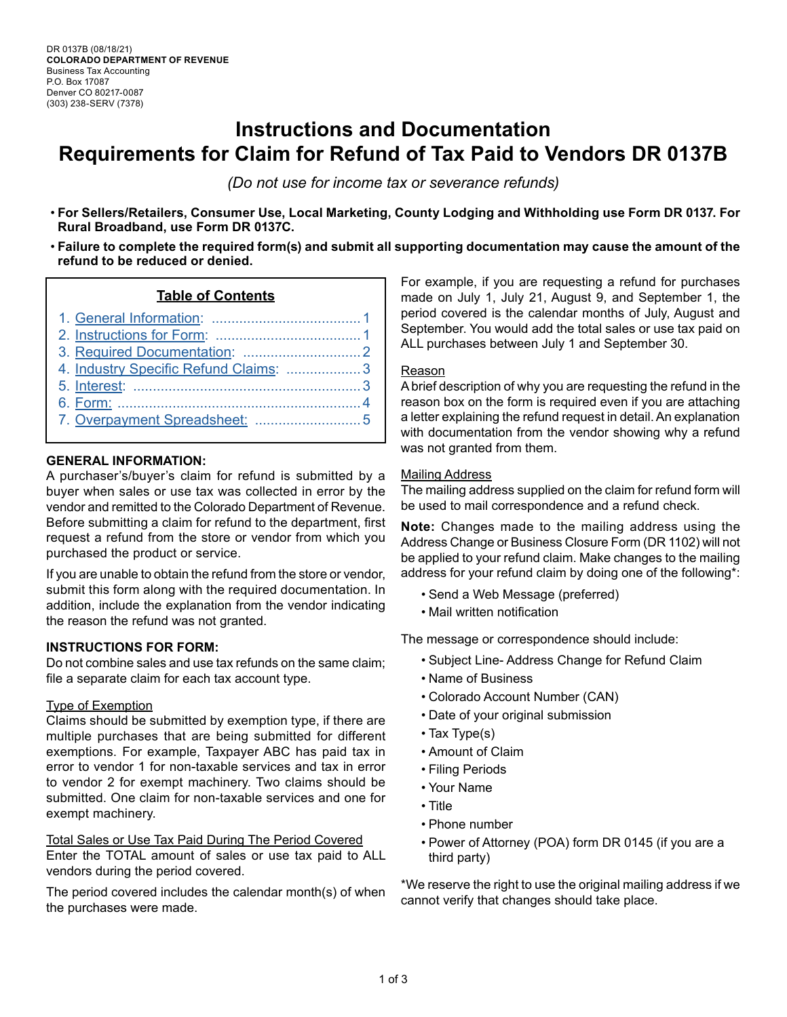# **Instructions and Documentation Requirements for Claim for Refund of Tax Paid to Vendors DR 0137B**

*(Do not use for income tax or severance refunds)*

- **For Sellers/Retailers, Consumer Use, Local Marketing, County Lodging and Withholding use Form DR 0137. For Rural Broadband, use Form DR 0137C.**
- **Failure to complete the required form(s) and submit all supporting documentation may cause the amount of the refund to be reduced or denied.**

#### **Table of Contents**

- 1. [General Information: ......................................1](#page-0-0) 2. [Instructions for Form: .....................................1](#page-0-1) 3. [Required Documentation: ..............................2](#page-1-0)
- 4. [Industry Specific Refund Claims](#page-2-0): ...................3
- 5. [Interest: ..........................................................3](#page-2-1)
- 6. Form: [..............................................................4](#page-3-0)
- 7. [Overpayment Spreadsheet:](#page-4-0) ...........................[5](#page-4-0)
- 

#### <span id="page-0-0"></span>**GENERAL INFORMATION:**

A purchaser's/buyer's claim for refund is submitted by a buyer when sales or use tax was collected in error by the vendor and remitted to the Colorado Department of Revenue. Before submitting a claim for refund to the department, first request a refund from the store or vendor from which you purchased the product or service.

If you are unable to obtain the refund from the store or vendor, submit this form along with the required documentation. In addition, include the explanation from the vendor indicating the reason the refund was not granted.

#### <span id="page-0-1"></span>**INSTRUCTIONS FOR FORM:**

Do not combine sales and use tax refunds on the same claim; file a separate claim for each tax account type.

#### Type of Exemption

Claims should be submitted by exemption type, if there are multiple purchases that are being submitted for different exemptions. For example, Taxpayer ABC has paid tax in error to vendor 1 for non-taxable services and tax in error to vendor 2 for exempt machinery. Two claims should be submitted. One claim for non-taxable services and one for exempt machinery.

Total Sales or Use Tax Paid During The Period Covered Enter the TOTAL amount of sales or use tax paid to ALL vendors during the period covered.

The period covered includes the calendar month(s) of when the purchases were made.

For example, if you are requesting a refund for purchases made on July 1, July 21, August 9, and September 1, the period covered is the calendar months of July, August and September. You would add the total sales or use tax paid on ALL purchases between July 1 and September 30.

#### Reason

A brief description of why you are requesting the refund in the reason box on the form is required even if you are attaching a letter explaining the refund request in detail. An explanation with documentation from the vendor showing why a refund was not granted from them.

#### **Mailing Address**

The mailing address supplied on the claim for refund form will be used to mail correspondence and a refund check.

**Note:** Changes made to the mailing address using the Address Change or Business Closure Form (DR 1102) will not be applied to your refund claim. Make changes to the mailing address for your refund claim by doing one of the following\*:

- Send a Web Message (preferred)
- Mail written notification

The message or correspondence should include:

- Subject Line- Address Change for Refund Claim
- Name of Business
- Colorado Account Number (CAN)
- Date of your original submission
- Tax Type(s)
- Amount of Claim
- Filing Periods
- Your Name
- Title
- Phone number
- Power of Attorney (POA) form DR 0145 (if you are a third party)

\*We reserve the right to use the original mailing address if we cannot verify that changes should take place.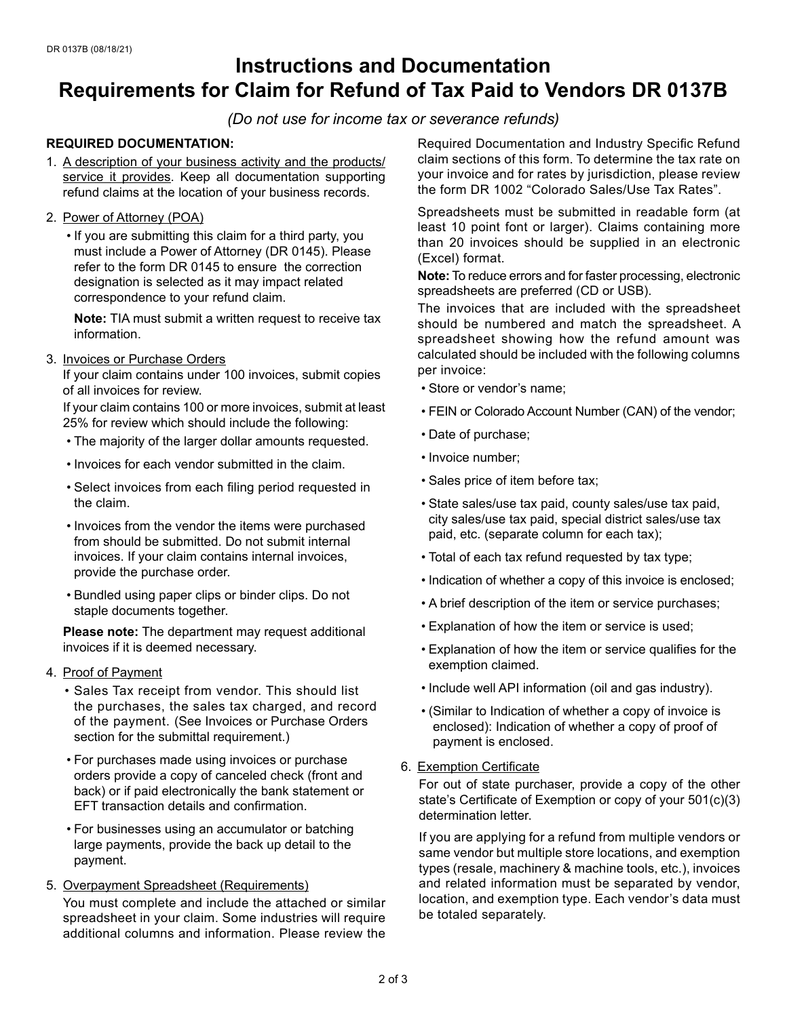## **Instructions and Documentation Requirements for Claim for Refund of Tax Paid to Vendors DR 0137B**

*(Do not use for income tax or severance refunds)*

#### <span id="page-1-0"></span>**REQUIRED DOCUMENTATION:**

- 1. A description of your business activity and the products/ service it provides. Keep all documentation supporting refund claims at the location of your business records.
- 2. Power of Attorney (POA)
	- If you are submitting this claim for a third party, you must include a Power of Attorney (DR 0145). Please refer to the form DR 0145 to ensure the correction designation is selected as it may impact related correspondence to your refund claim.

**Note:** TIA must submit a written request to receive tax information.

3. Invoices or Purchase Orders

If your claim contains under 100 invoices, submit copies of all invoices for review.

If your claim contains 100 or more invoices, submit at least 25% for review which should include the following:

- The majority of the larger dollar amounts requested.
- Invoices for each vendor submitted in the claim.
- Select invoices from each filing period requested in the claim.
- Invoices from the vendor the items were purchased from should be submitted. Do not submit internal invoices. If your claim contains internal invoices, provide the purchase order.
- Bundled using paper clips or binder clips. Do not staple documents together.

**Please note:** The department may request additional invoices if it is deemed necessary.

- 4. Proof of Payment
	- Sales Tax receipt from vendor. This should list the purchases, the sales tax charged, and record of the payment. (See Invoices or Purchase Orders section for the submittal requirement.)
	- For purchases made using invoices or purchase orders provide a copy of canceled check (front and back) or if paid electronically the bank statement or EFT transaction details and confirmation.
	- For businesses using an accumulator or batching large payments, provide the back up detail to the payment.
- 5. Overpayment Spreadsheet (Requirements) You must complete and include the attached or similar spreadsheet in your claim. Some industries will require additional columns and information. Please review the

Required Documentation and Industry Specific Refund claim sections of this form. To determine the tax rate on your invoice and for rates by jurisdiction, please review the form DR 1002 "Colorado Sales/Use Tax Rates".

Spreadsheets must be submitted in readable form (at least 10 point font or larger). Claims containing more than 20 invoices should be supplied in an electronic (Excel) format.

**Note:** To reduce errors and for faster processing, electronic spreadsheets are preferred (CD or USB).

The invoices that are included with the spreadsheet should be numbered and match the spreadsheet. A spreadsheet showing how the refund amount was calculated should be included with the following columns per invoice:

- Store or vendor's name;
- FEIN or Colorado Account Number (CAN) of the vendor;
- Date of purchase;
- Invoice number;
- Sales price of item before tax;
- State sales/use tax paid, county sales/use tax paid, city sales/use tax paid, special district sales/use tax paid, etc. (separate column for each tax);
- Total of each tax refund requested by tax type;
- Indication of whether a copy of this invoice is enclosed;
- A brief description of the item or service purchases;
- Explanation of how the item or service is used;
- Explanation of how the item or service qualifies for the exemption claimed.
- Include well API information (oil and gas industry).
- (Similar to Indication of whether a copy of invoice is enclosed): Indication of whether a copy of proof of payment is enclosed.
- 6. Exemption Certificate

For out of state purchaser, provide a copy of the other state's Certificate of Exemption or copy of your 501(c)(3) determination letter.

If you are applying for a refund from multiple vendors or same vendor but multiple store locations, and exemption types (resale, machinery & machine tools, etc.), invoices and related information must be separated by vendor, location, and exemption type. Each vendor's data must be totaled separately.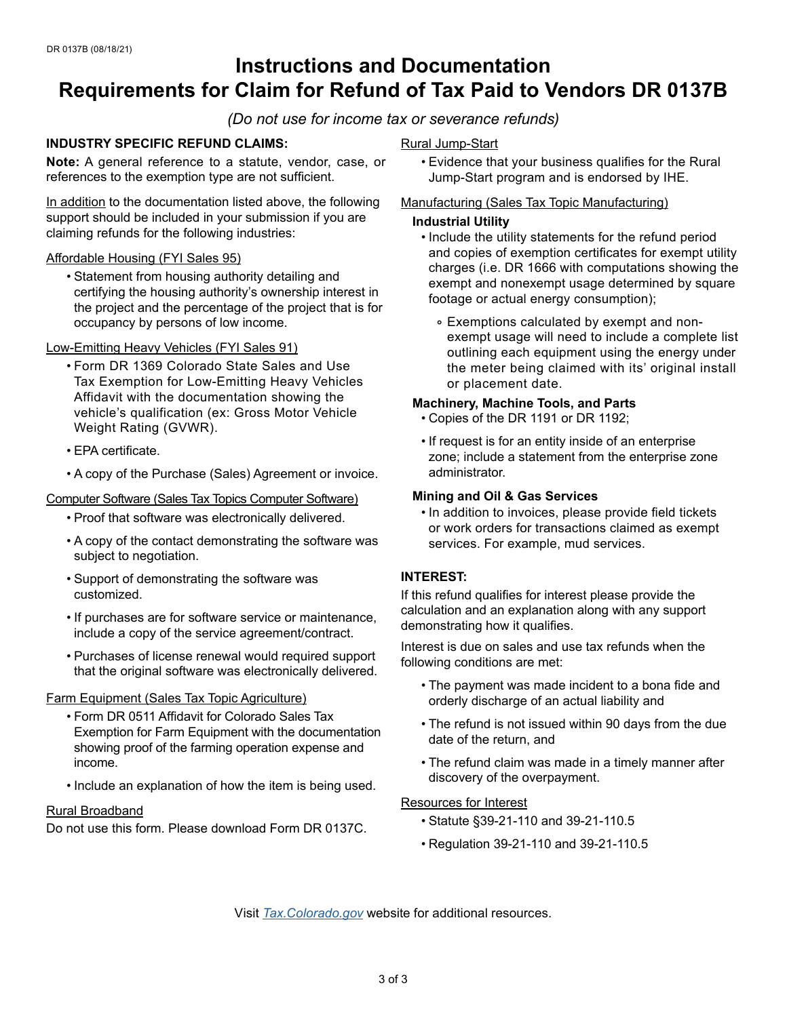# **Instructions and Documentation Requirements for Claim for Refund of Tax Paid to Vendors DR 0137B**

*(Do not use for income tax or severance refunds)*

#### <span id="page-2-0"></span>**INDUSTRY SPECIFIC REFUND CLAIMS:**

**Note:** A general reference to a statute, vendor, case, or references to the exemption type are not sufficient.

In addition to the documentation listed above, the following support should be included in your submission if you are claiming refunds for the following industries:

#### Affordable Housing (FYI Sales 95)

• Statement from housing authority detailing and certifying the housing authority's ownership interest in the project and the percentage of the project that is for occupancy by persons of low income.

#### Low-Emitting Heavy Vehicles (FYI Sales 91)

- Form DR 1369 Colorado State Sales and Use Tax Exemption for Low-Emitting Heavy Vehicles Affidavit with the documentation showing the vehicle's qualification (ex: Gross Motor Vehicle Weight Rating (GVWR).
- EPA certificate.
- A copy of the Purchase (Sales) Agreement or invoice.

#### Computer Software (Sales Tax Topics Computer Software)

- Proof that software was electronically delivered.
- A copy of the contact demonstrating the software was subject to negotiation.
- Support of demonstrating the software was customized.
- If purchases are for software service or maintenance, include a copy of the service agreement/contract.
- Purchases of license renewal would required support that the original software was electronically delivered.

#### Farm Equipment (Sales Tax Topic Agriculture)

- Form DR 0511 Affidavit for Colorado Sales Tax Exemption for Farm Equipment with the documentation showing proof of the farming operation expense and income.
- Include an explanation of how the item is being used.

#### Rural Broadband

Do not use this form. Please download Form DR 0137C.

#### Rural Jump-Start

• Evidence that your business qualifies for the Rural Jump-Start program and is endorsed by IHE.

#### Manufacturing (Sales Tax Topic Manufacturing)

#### **Industrial Utility**

- Include the utility statements for the refund period and copies of exemption certificates for exempt utility charges (i.e. DR 1666 with computations showing the exempt and nonexempt usage determined by square footage or actual energy consumption);
	- ∘ Exemptions calculated by exempt and nonexempt usage will need to include a complete list outlining each equipment using the energy under the meter being claimed with its' original install or placement date.

#### **Machinery, Machine Tools, and Parts**

- Copies of the DR 1191 or DR 1192;
- If request is for an entity inside of an enterprise zone; include a statement from the enterprise zone administrator.

#### **Mining and Oil & Gas Services**

• In addition to invoices, please provide field tickets or work orders for transactions claimed as exempt services. For example, mud services.

#### <span id="page-2-1"></span>**INTEREST:**

If this refund qualifies for interest please provide the calculation and an explanation along with any support demonstrating how it qualifies.

Interest is due on sales and use tax refunds when the following conditions are met:

- The payment was made incident to a bona fide and orderly discharge of an actual liability and
- The refund is not issued within 90 days from the due date of the return, and
- The refund claim was made in a timely manner after discovery of the overpayment.

#### Resources for Interest

- Statute §39-21-110 and 39-21-110.5
- Regulation 39-21-110 and 39-21-110.5

Visit *[Tax.Colorado.gov](http://Tax.Colorado.gov)* website for additional resources.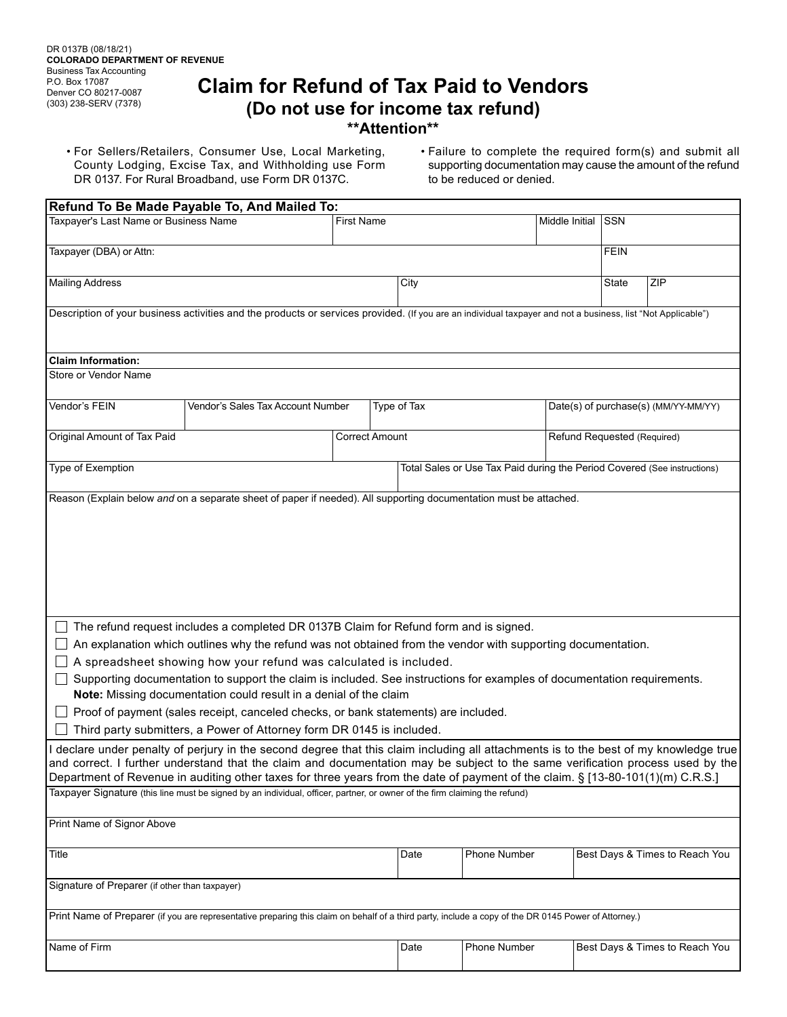### **Claim for Refund of Tax Paid to Vendors (Do not use for income tax refund) \*\*Attention\*\***

<span id="page-3-0"></span>• For Sellers/Retailers, Consumer Use, Local Marketing, County Lodging, Excise Tax, and Withholding use Form DR 0137. For Rural Broadband, use Form DR 0137C.

• Failure to complete the required form(s) and submit all supporting documentation may cause the amount of the refund to be reduced or denied.

|                                                                                                                                                                                                                                                                                                                                                                                                          | Refund To Be Made Payable To, And Mailed To:                                                                                                                                                                                                                                                                                                                                                                                                                                                                                                                                                                                               |      |                                                                          |                    |              |                                      |             |                                |  |  |  |
|----------------------------------------------------------------------------------------------------------------------------------------------------------------------------------------------------------------------------------------------------------------------------------------------------------------------------------------------------------------------------------------------------------|--------------------------------------------------------------------------------------------------------------------------------------------------------------------------------------------------------------------------------------------------------------------------------------------------------------------------------------------------------------------------------------------------------------------------------------------------------------------------------------------------------------------------------------------------------------------------------------------------------------------------------------------|------|--------------------------------------------------------------------------|--------------------|--------------|--------------------------------------|-------------|--------------------------------|--|--|--|
| Taxpayer's Last Name or Business Name                                                                                                                                                                                                                                                                                                                                                                    | <b>First Name</b>                                                                                                                                                                                                                                                                                                                                                                                                                                                                                                                                                                                                                          |      |                                                                          | Middle Initial SSN |              |                                      |             |                                |  |  |  |
| Taxpayer (DBA) or Attn:                                                                                                                                                                                                                                                                                                                                                                                  |                                                                                                                                                                                                                                                                                                                                                                                                                                                                                                                                                                                                                                            |      |                                                                          |                    |              |                                      | <b>FEIN</b> |                                |  |  |  |
| <b>Mailing Address</b>                                                                                                                                                                                                                                                                                                                                                                                   |                                                                                                                                                                                                                                                                                                                                                                                                                                                                                                                                                                                                                                            | City |                                                                          |                    |              | <b>State</b>                         |             | ZIP                            |  |  |  |
|                                                                                                                                                                                                                                                                                                                                                                                                          | Description of your business activities and the products or services provided. (If you are an individual taxpayer and not a business, list "Not Applicable")                                                                                                                                                                                                                                                                                                                                                                                                                                                                               |      |                                                                          |                    |              |                                      |             |                                |  |  |  |
| <b>Claim Information:</b>                                                                                                                                                                                                                                                                                                                                                                                |                                                                                                                                                                                                                                                                                                                                                                                                                                                                                                                                                                                                                                            |      |                                                                          |                    |              |                                      |             |                                |  |  |  |
| Store or Vendor Name                                                                                                                                                                                                                                                                                                                                                                                     |                                                                                                                                                                                                                                                                                                                                                                                                                                                                                                                                                                                                                                            |      |                                                                          |                    |              |                                      |             |                                |  |  |  |
| Vendor's FEIN                                                                                                                                                                                                                                                                                                                                                                                            | Vendor's Sales Tax Account Number                                                                                                                                                                                                                                                                                                                                                                                                                                                                                                                                                                                                          |      |                                                                          | Type of Tax        |              | Date(s) of purchase(s) (MM/YY-MM/YY) |             |                                |  |  |  |
| Original Amount of Tax Paid                                                                                                                                                                                                                                                                                                                                                                              |                                                                                                                                                                                                                                                                                                                                                                                                                                                                                                                                                                                                                                            |      | <b>Correct Amount</b>                                                    |                    |              | Refund Requested (Required)          |             |                                |  |  |  |
| Type of Exemption                                                                                                                                                                                                                                                                                                                                                                                        |                                                                                                                                                                                                                                                                                                                                                                                                                                                                                                                                                                                                                                            |      | Total Sales or Use Tax Paid during the Period Covered (See instructions) |                    |              |                                      |             |                                |  |  |  |
|                                                                                                                                                                                                                                                                                                                                                                                                          | Reason (Explain below and on a separate sheet of paper if needed). All supporting documentation must be attached.                                                                                                                                                                                                                                                                                                                                                                                                                                                                                                                          |      |                                                                          |                    |              |                                      |             |                                |  |  |  |
|                                                                                                                                                                                                                                                                                                                                                                                                          | The refund request includes a completed DR 0137B Claim for Refund form and is signed.<br>An explanation which outlines why the refund was not obtained from the vendor with supporting documentation.<br>A spreadsheet showing how your refund was calculated is included.<br>Supporting documentation to support the claim is included. See instructions for examples of documentation requirements.<br>Note: Missing documentation could result in a denial of the claim<br>Proof of payment (sales receipt, canceled checks, or bank statements) are included.<br>Third party submitters, a Power of Attorney form DR 0145 is included. |      |                                                                          |                    |              |                                      |             |                                |  |  |  |
| declare under penalty of perjury in the second degree that this claim including all attachments is to the best of my knowledge true<br>and correct. I further understand that the claim and documentation may be subject to the same verification process used by the<br>Department of Revenue in auditing other taxes for three years from the date of payment of the claim. § [13-80-101(1)(m) C.R.S.] |                                                                                                                                                                                                                                                                                                                                                                                                                                                                                                                                                                                                                                            |      |                                                                          |                    |              |                                      |             |                                |  |  |  |
| Taxpayer Signature (this line must be signed by an individual, officer, partner, or owner of the firm claiming the refund)                                                                                                                                                                                                                                                                               |                                                                                                                                                                                                                                                                                                                                                                                                                                                                                                                                                                                                                                            |      |                                                                          |                    |              |                                      |             |                                |  |  |  |
| Print Name of Signor Above                                                                                                                                                                                                                                                                                                                                                                               |                                                                                                                                                                                                                                                                                                                                                                                                                                                                                                                                                                                                                                            |      |                                                                          |                    |              |                                      |             |                                |  |  |  |
| Title                                                                                                                                                                                                                                                                                                                                                                                                    |                                                                                                                                                                                                                                                                                                                                                                                                                                                                                                                                                                                                                                            |      |                                                                          | Date               | Phone Number |                                      |             | Best Days & Times to Reach You |  |  |  |
| Signature of Preparer (if other than taxpayer)                                                                                                                                                                                                                                                                                                                                                           |                                                                                                                                                                                                                                                                                                                                                                                                                                                                                                                                                                                                                                            |      |                                                                          |                    |              |                                      |             |                                |  |  |  |
| Print Name of Preparer (if you are representative preparing this claim on behalf of a third party, include a copy of the DR 0145 Power of Attorney.)                                                                                                                                                                                                                                                     |                                                                                                                                                                                                                                                                                                                                                                                                                                                                                                                                                                                                                                            |      |                                                                          |                    |              |                                      |             |                                |  |  |  |
| Name of Firm                                                                                                                                                                                                                                                                                                                                                                                             |                                                                                                                                                                                                                                                                                                                                                                                                                                                                                                                                                                                                                                            |      |                                                                          | Date               | Phone Number |                                      |             | Best Days & Times to Reach You |  |  |  |